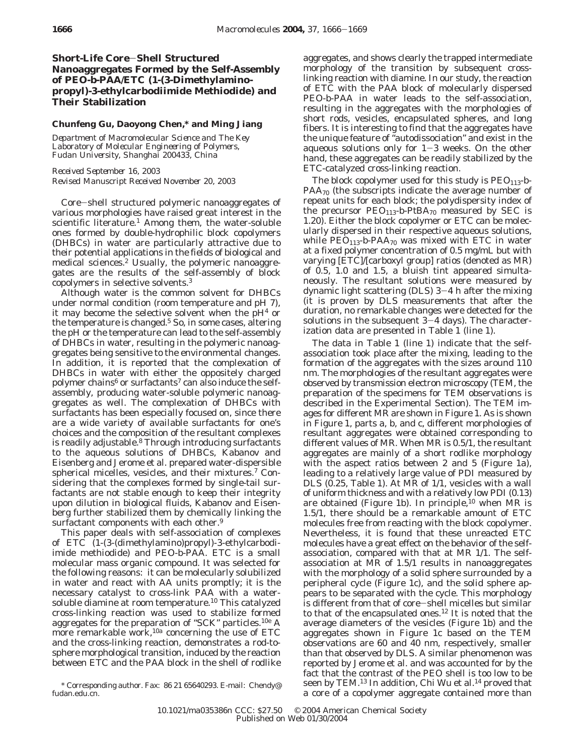# **Short-Life Core**-**Shell Structured Nanoaggregates Formed by the Self-Assembly of PEO-***b***-PAA/ETC (1-(3-Dimethylaminopropyl)-3-ethylcarbodiimide Methiodide) and Their Stabilization**

# **Chunfeng Gu, Daoyong Chen,\* and Ming Jiang**

*Department of Macromolecular Science and The Key Laboratory of Molecular Engineering of Polymers, Fudan University, Shanghai 200433, China*

*Received September 16, 2003 Revised Manuscript Received November 20, 2003*

Core-shell structured polymeric nanoaggregates of various morphologies have raised great interest in the scientific literature. $\frac{1}{1}$  Among them, the water-soluble ones formed by double-hydrophilic block copolymers (DHBCs) in water are particularly attractive due to their potential applications in the fields of biological and medical sciences.<sup>2</sup> Usually, the polymeric nanoaggregates are the results of the self-assembly of block copolymers in selective solvents.3

Although water is the common solvent for DHBCs under normal condition (room temperature and pH 7), it may become the selective solvent when the  $pH<sup>4</sup>$  or the temperature is changed. $5$  So, in some cases, altering the pH or the temperature can lead to the self-assembly of DHBCs in water, resulting in the polymeric nanoaggregates being sensitive to the environmental changes. In addition, it is reported that the complexation of DHBCs in water with either the oppositely charged polymer chains<sup>6</sup> or surfactants<sup>7</sup> can also induce the selfassembly, producing water-soluble polymeric nanoaggregates as well. The complexation of DHBCs with surfactants has been especially focused on, since there are a wide variety of available surfactants for one's choices and the composition of the resultant complexes is readily adjustable.<sup>8</sup> Through introducing surfactants to the aqueous solutions of DHBCs, Kabanov and Eisenberg and Jerome et al. prepared water-dispersible spherical micelles, vesicles, and their mixtures.<sup>7</sup> Considering that the complexes formed by single-tail surfactants are not stable enough to keep their integrity upon dilution in biological fluids, Kabanov and Eisenberg further stabilized them by chemically linking the surfactant components with each other.<sup>9</sup>

This paper deals with self-association of complexes of ETC (1-(3-(dimethylamino)propyl)-3-ethylcarbodiimide methiodide) and PEO-*b*-PAA. ETC is a small molecular mass organic compound. It was selected for the following reasons: it can be molecularly solubilized in water and react with AA units promptly; it is the necessary catalyst to cross-link PAA with a watersoluble diamine at room temperature.<sup>10</sup> This catalyzed cross-linking reaction was used to stabilize formed aggregates for the preparation of "SCK" particles.<sup>10e</sup> A more remarkable work,<sup>10a</sup> concerning the use of ETC and the cross-linking reaction, demonstrates a rod-tosphere morphological transition, induced by the reaction between ETC and the PAA block in the shell of rodlike

aggregates, and shows clearly the trapped intermediate morphology of the transition by subsequent crosslinking reaction with diamine. In our study, the reaction of ETC with the PAA block of molecularly dispersed PEO-*b*-PAA in water leads to the self-association, resulting in the aggregates with the morphologies of short rods, vesicles, encapsulated spheres, and long fibers. It is interesting to find that the aggregates have the unique feature of "autodissociation" and exist in the aqueous solutions only for  $1-3$  weeks. On the other hand, these aggregates can be readily stabilized by the ETC-catalyzed cross-linking reaction.

The block copolymer used for this study is  $PEO<sub>113</sub>$ -*b*- $PAA_{70}$  (the subscripts indicate the average number of repeat units for each block; the polydispersity index of the precursor  $PEO<sub>113</sub>$ -*b*-P*t*BA<sub>70</sub> measured by SEC is 1.20). Either the block copolymer or ETC can be molecularly dispersed in their respective aqueous solutions, while  $PEO<sub>113</sub>$ -*b*-PAA<sub>70</sub> was mixed with ETC in water at a fixed polymer concentration of 0.5 mg/mL but with varying [ETC]/[carboxyl group] ratios (denoted as MR) of 0.5, 1.0 and 1.5, a bluish tint appeared simultaneously. The resultant solutions were measured by dynamic light scattering (DLS) 3-4 h after the mixing (it is proven by DLS measurements that after the duration, no remarkable changes were detected for the solutions in the subsequent  $3-4$  days). The characterization data are presented in Table 1 (line 1).

The data in Table 1 (line 1) indicate that the selfassociation took place after the mixing, leading to the formation of the aggregates with the sizes around 110 nm. The morphologies of the resultant aggregates were observed by transmission electron microscopy (TEM, the preparation of the specimens for TEM observations is described in the Experimental Section). The TEM images for different MR are shown in Figure 1. As is shown in Figure 1, parts a, b, and c, different morphologies of resultant aggregates were obtained corresponding to different values of MR. When MR is 0.5/1, the resultant aggregates are mainly of a short rodlike morphology with the aspect ratios between 2 and 5 (Figure 1a), leading to a relatively large value of PDI measured by DLS (0.25, Table 1). At MR of 1/1, vesicles with a wall of uniform thickness and with a relatively low PDI (0.13) are obtained (Figure 1b). In principle,  $10$  when MR is 1.5/1, there should be a remarkable amount of ETC molecules free from reacting with the block copolymer. Nevertheless, it is found that these unreacted ETC molecules have a great effect on the behavior of the selfassociation, compared with that at MR 1/1. The selfassociation at MR of 1.5/1 results in nanoaggregates with the morphology of a solid sphere surrounded by a peripheral cycle (Figure 1c), and the solid sphere appears to be separated with the cycle. This morphology is different from that of core-shell micelles but similar to that of the encapsulated ones.12 It is noted that the average diameters of the vesicles (Figure 1b) and the aggregates shown in Figure 1c based on the TEM observations are 60 and 40 nm, respectively, smaller than that observed by DLS. A similar phenomenon was reported by Jerome et al. and was accounted for by the fact that the contrast of the PEO shell is too low to be seen by TEM.<sup>13</sup> In addition, Chi Wu et al.<sup>14</sup> proved that Corresponding author. Fax: 86 21 65640293. E-mail: Chendy@eread by TEM.<sup>13</sup> In addition, Chi Wu et al.<sup>14</sup> proved that \* a corre of a copolymer aggregate contained more than \* a core of a copolymer aggregate contained mo

fudan.edu.cn.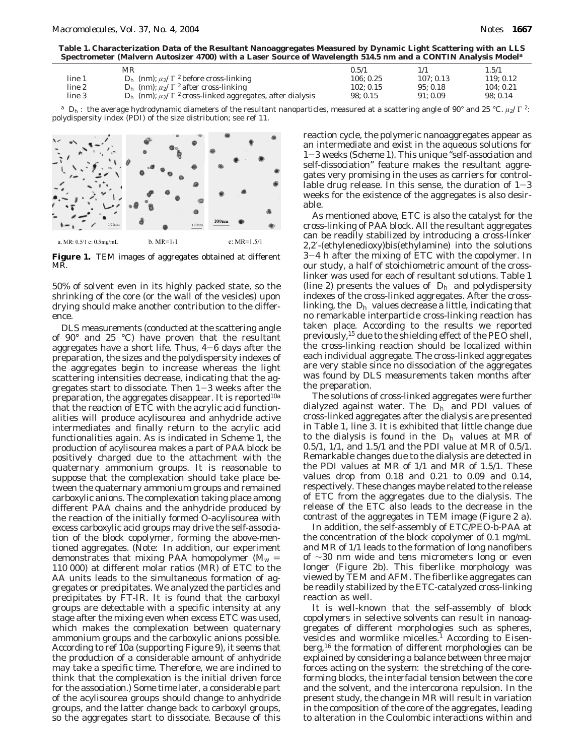**Table 1. Characterization Data of the Resultant Nanoaggregates Measured by Dynamic Light Scattering with an LLS Spectrometer (Malvern Autosizer 4700) with a Laser Source of Wavelength 514.5 nm and a CONTIN Analysis Model***<sup>a</sup>*

|        | MR                                                                                                         | 0.5/1     |          | 1.5/1    |
|--------|------------------------------------------------------------------------------------------------------------|-----------|----------|----------|
| line 1 | $\langle D_h \rangle$ (nm); $\mu_2/\langle \Gamma \rangle^2$ before cross-linking                          | 106: 0.25 | 107:0.13 | 119:0.12 |
| line 2 | $\langle D_h \rangle$ (nm); $\mu_2/\langle \Gamma \rangle^2$ after cross-linking                           | 102: 0.15 | 95:0.18  | 104:0.21 |
| line 3 | $\langle D_{\rm h} \rangle$ (nm); $\mu_2/\langle \Gamma \rangle^2$ cross-linked aggregates, after dialysis | 98:0.15   | 91:0.09  | 98:0.14  |

*<sup>a</sup>* 〈*D*h〉: the average hydrodynamic diameters of the resultant nanoparticles, measured at a scattering angle of 90° and 25 °C. *µ*2/〈Γ〉2: polydispersity index (PDI) of the size distribution; see ref 11.



**Figure 1.** TEM images of aggregates obtained at different MR.

50% of solvent even in its highly packed state, so the shrinking of the core (or the wall of the vesicles) upon drying should make another contribution to the difference.

DLS measurements (conducted at the scattering angle of 90° and 25 °C) have proven that the resultant aggregates have a short life. Thus,  $4-6$  days after the preparation, the sizes and the polydispersity indexes of the aggregates begin to increase whereas the light scattering intensities decrease, indicating that the aggregates start to dissociate. Then 1-3 weeks after the preparation, the aggregates disappear. It is reported<sup>10a</sup> that the reaction of ETC with the acrylic acid functionalities will produce acylisourea and anhydride active intermediates and finally return to the acrylic acid functionalities again. As is indicated in Scheme 1, the production of acylisourea makes a part of PAA block be positively charged due to the attachment with the quaternary ammonium groups. It is reasonable to suppose that the complexation should take place between the quaternary ammonium groups and remained carboxylic anions. The complexation taking place among different PAA chains and the anhydride produced by the reaction of the initially formed *O*-acylisourea with excess carboxylic acid groups may drive the self-association of the block copolymer, forming the above-mentioned aggregates. (Note: In addition, our experiment demonstrates that mixing PAA homopolymer  $(M_w =$ 110 000) at different molar ratios (MR) of ETC to the AA units leads to the simultaneous formation of aggregates or precipitates. We analyzed the particles and precipitates by FT-IR. It is found that the carboxyl groups are detectable with a specific intensity at any stage after the mixing even when excess ETC was used, which makes the complexation between quaternary ammonium groups and the carboxylic anions possible. According to ref 10a (supporting Figure 9), it seems that the production of a considerable amount of anhydride may take a specific time. Therefore, we are inclined to think that the complexation is the initial driven force for the association.) Some time later, a considerable part of the acylisourea groups should change to anhydride groups, and the latter change back to carboxyl groups, so the aggregates start to dissociate. Because of this

reaction cycle, the polymeric nanoaggregates appear as an intermediate and exist in the aqueous solutions for <sup>1</sup>-3 weeks (Scheme 1). This unique "self-association and self-dissociation" feature makes the resultant aggregates very promising in the uses as carriers for controllable drug release. In this sense, the duration of  $1-3$ weeks for the existence of the aggregates is also desirable.

As mentioned above, ETC is also the catalyst for the cross-linking of PAA block. All the resultant aggregates can be readily stabilized by introducing a cross-linker 2,2′-(ethylenedioxy)bis(ethylamine) into the solutions <sup>3</sup>-4 h after the mixing of ETC with the copolymer. In our study, a half of stoichiometric amount of the crosslinker was used for each of resultant solutions. Table 1 (line 2) presents the values of  $\langle D_h \rangle$  and polydispersity indexes of the cross-linked aggregates. After the crosslinking, the  $\langle D_{h} \rangle$  values decrease a little, indicating that no remarkable interparticle cross-linking reaction has taken place. According to the results we reported previously,15 due to the shielding effect of the PEO shell, the cross-linking reaction should be localized within each individual aggregate. The cross-linked aggregates are very stable since no dissociation of the aggregates was found by DLS measurements taken months after the preparation.

The solutions of cross-linked aggregates were further dialyzed against water. The  $\langle D_{h} \rangle$  and PDI values of cross-linked aggregates after the dialysis are presented in Table 1, line 3. It is exhibited that little change due to the dialysis is found in the  $\langle D_{h} \rangle$  values at MR of 0.5/1, 1/1, and 1.5/1 and the PDI value at MR of 0.5/1. Remarkable changes due to the dialysis are detected in the PDI values at MR of 1/1 and MR of 1.5/1. These values drop from 0.18 and 0.21 to 0.09 and 0.14, respectively. These changes maybe related to the release of ETC from the aggregates due to the dialysis. The release of the ETC also leads to the decrease in the contrast of the aggregates in TEM image (Figure 2 a).

In addition, the self-assembly of ETC/PEO-*b*-PAA at the concentration of the block copolymer of 0.1 mg/mL and MR of 1/1 leads to the formation of long nanofibers of ∼30 nm wide and tens micrometers long or even longer (Figure 2b). This fiberlike morphology was viewed by TEM and AFM. The fiberlike aggregates can be readily stabilized by the ETC-catalyzed cross-linking reaction as well.

It is well-known that the self-assembly of block copolymers in selective solvents can result in nanoaggregates of different morphologies such as spheres, vesicles and wormlike micelles.<sup>1</sup> According to Eisenberg,16 the formation of different morphologies can be explained by considering a balance between three major forces acting on the system: the stretching of the coreforming blocks, the interfacial tension between the core and the solvent, and the intercorona repulsion. In the present study, the change in MR will result in variation in the composition of the core of the aggregates, leading to alteration in the Coulombic interactions within and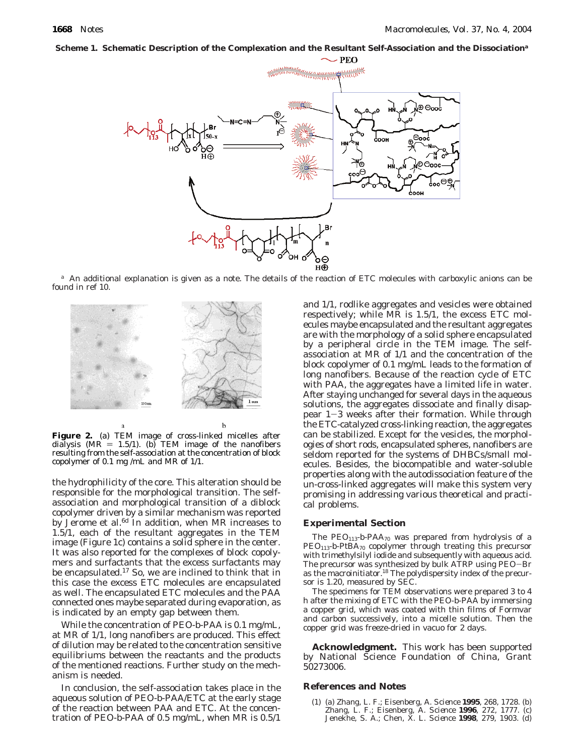## **Scheme 1. Schematic Description of the Complexation and the Resultant Self-Association and the Dissociation***<sup>a</sup>*



*<sup>a</sup>* An additional explanation is given as a note. The details of the reaction of ETC molecules with carboxylic anions can be found in ref 10.



**Figure 2.** (a) TEM image of cross-linked micelles after dialysis (MR = 1.5/1). (b) TEM image of the nanofibers resulting from the self-association at the concentration of block copolymer of 0.1 mg /mL and MR of 1/1.

b

the hydrophilicity of the core. This alteration should be responsible for the morphological transition. The selfassociation and morphological transition of a diblock copolymer driven by a similar mechanism was reported by Jerome et al.<sup>6d</sup> In addition, when MR increases to 1.5/1, each of the resultant aggregates in the TEM image (Figure 1c) contains a solid sphere in the center. It was also reported for the complexes of block copolymers and surfactants that the excess surfactants may be encapsulated.17 So, we are inclined to think that in this case the excess ETC molecules are encapsulated as well. The encapsulated ETC molecules and the PAA connected ones maybe separated during evaporation, as is indicated by an empty gap between them.

While the concentration of PEO-*b*-PAA is 0.1 mg/mL, at MR of 1/1, long nanofibers are produced. This effect of dilution may be related to the concentration sensitive equilibriums between the reactants and the products of the mentioned reactions. Further study on the mechanism is needed.

In conclusion, the self-association takes place in the aqueous solution of PEO-*b*-PAA/ETC at the early stage of the reaction between PAA and ETC. At the concentration of PEO-*b*-PAA of 0.5 mg/mL, when MR is 0.5/1

and 1/1, rodlike aggregates and vesicles were obtained respectively; while MR is 1.5/1, the excess ETC molecules maybe encapsulated and the resultant aggregates are with the morphology of a solid sphere encapsulated by a peripheral circle in the TEM image. The selfassociation at MR of 1/1 and the concentration of the block copolymer of 0.1 mg/mL leads to the formation of long nanofibers. Because of the reaction cycle of ETC with PAA, the aggregates have a limited life in water. After staying unchanged for several days in the aqueous solutions, the aggregates dissociate and finally disappear 1-3 weeks after their formation. While through the ETC-catalyzed cross-linking reaction, the aggregates can be stabilized. Except for the vesicles, the morphologies of short rods, encapsulated spheres, nanofibers are seldom reported for the systems of DHBCs/small molecules. Besides, the biocompatible and water-soluble properties along with the autodissociation feature of the un-cross-linked aggregates will make this system very promising in addressing various theoretical and practical problems.

### **Experimental Section**

The  $PEO<sub>113</sub>$ -*b*-PAA<sub>70</sub> was prepared from hydrolysis of a PEO113-*b*-P*t*BA70 copolymer through treating this precursor with trimethylsilyl iodide and subsequently with aqueous acid. The precursor was synthesized by bulk ATRP using PEO-Br as the macroinitiator.18 The polydispersity index of the precursor is 1.20, measured by SEC.

The specimens for TEM observations were prepared 3 to 4 h after the mixing of ETC with the PEO-*b*-PAA by immersing a copper grid, which was coated with thin films of Formvar and carbon successively, into a micelle solution. Then the copper grid was freeze-dried in vacuo for 2 days.

**Acknowledgment.** This work has been supported by National Science Foundation of China, Grant 50273006.

### **References and Notes**

(1) (a) Zhang, L. F.; Eisenberg, A. *Science* **1995**, *268*, 1728. (b) Zhang, L. F.; Eisenberg, A. *Science* **1996**, *272*, 1777. (c) Jenekhe, S. A.; Chen, X. L. *Science* **1998**, *279*, 1903. (d)